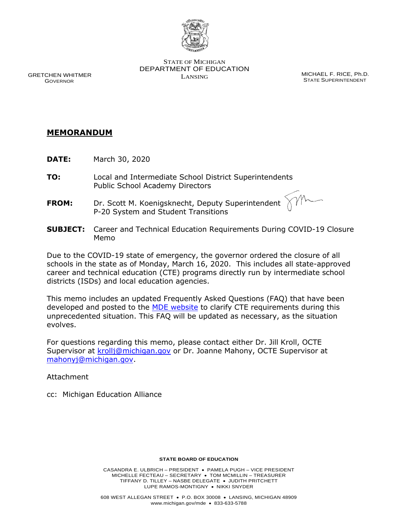

 DEPARTMENT OF EDUCATION STATE OF MICHIGAN GRETCHEN WHITMER **GRETCHEN WHITMER SECULIARIST SECULIARIST SECULIARIST SECULIARIST SECULIARIST SECULIARIST SE**<br>GOVERNOR **GOVER** GOVER STATE SUPER INTENDENT

**STATE SUPERINTENDENT** 

# **MEMORANDUM**

- **DATE:** March 30, 2020
- **TO:** Local and Intermediate School District Superintendents Public School Academy Directors
- **FROM:** Dr. Scott M. Koenigsknecht, Deputy Superintendent P-20 System and Student Transitions
- **SUBJECT:** Career and Technical Education Requirements During COVID-19 Closure Memo

 schools in the state as of Monday, March 16, 2020. This includes all state-approved career and technical education (CTE) programs directly run by intermediate school Due to the COVID-19 state of emergency, the governor ordered the closure of all districts (ISDs) and local education agencies.

developed and posted to the [MDE website t](http://www.michigan.gov/documents/mde/CTE_Requirements_Covid_685231_7.pdf)o clarify CTE requirements during this unprecedented situation. This FAQ will be updated as necessary, as the situation This memo includes an updated Frequently A[sked Question](https://www.michigan.go/documents/mde/CTE_Requirements_Covid_685231_7.pdf)s (FAQ) that have been evolves.

 For questions regarding this memo, please contact either Dr. Jill Kroll, OCTE Supervisor at [krollj@michigan.gov](mailto:krollj@michigan.gov) or Dr. Joanne Mahony, OCTE Supervisor at [mahonyj@michigan.gov.](mailto:mahonyj@michigan.gov)

Attachment

cc: Michigan Education Alliance

#### **STATE BOARD OF EDUCATION**

 MICHELLE FECTEAU – SECRETARY • TOM MCMILLIN – TREASURER TIFFANY D. TILLEY – NASBE DELEGATE • JUDITH PRITCHETT LUPE RAMOS-MONTIGNY • NIKKI SNYDER CASANDRA E. ULBRICH – PRESIDENT • PAMELA PUGH – VICE PRESIDENT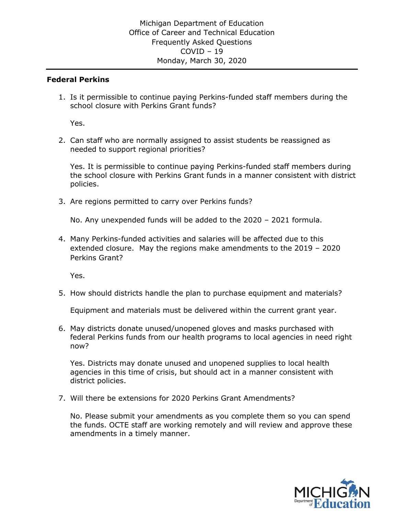#### **Federal Perkins**

1. Is it permissible to continue paying Perkins-funded staff members during the school closure with Perkins Grant funds?

Yes.

needed to support regional priorities? 2. Can staff who are normally assigned to assist students be reassigned as

 the school closure with Perkins Grant funds in a manner consistent with district Yes. It is permissible to continue paying Perkins-funded staff members during policies.

3. Are regions permitted to carry over Perkins funds?

No. Any unexpended funds will be added to the 2020 – 2021 formula.

4. Many Perkins-funded activities and salaries will be affected due to this extended closure. May the regions make amendments to the 2019 – 2020 Perkins Grant?

Yes.

5. How should districts handle the plan to purchase equipment and materials?

Equipment and materials must be delivered within the current grant year.

 federal Perkins funds from our health programs to local agencies in need right 6. May districts donate unused/unopened gloves and masks purchased with now?

 Yes. Districts may donate unused and unopened supplies to local health agencies in this time of crisis, but should act in a manner consistent with district policies.

7. Will there be extensions for 2020 Perkins Grant Amendments?

 No. Please submit your amendments as you complete them so you can spend the funds. OCTE staff are working remotely and will review and approve these amendments in a timely manner.

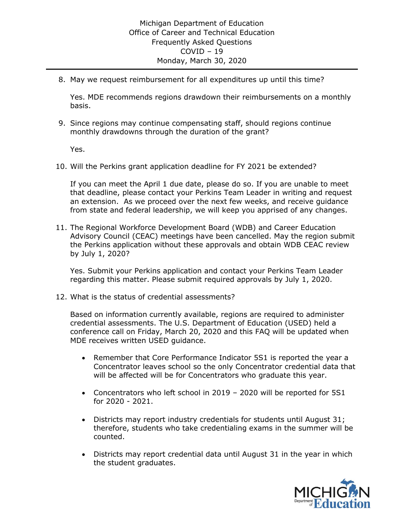8. May we request reimbursement for all expenditures up until this time?

 Yes. MDE recommends regions drawdown their reimbursements on a monthly basis.

 9. Since regions may continue compensating staff, should regions continue monthly drawdowns through the duration of the grant?

Yes.

10. Will the Perkins grant application deadline for FY 2021 be extended?

 If you can meet the April 1 due date, please do so. If you are unable to meet that deadline, please contact your Perkins Team Leader in writing and request an extension. As we proceed over the next few weeks, and receive guidance from state and federal leadership, we will keep you apprised of any changes.

 11. The Regional Workforce Development Board (WDB) and Career Education Advisory Council (CEAC) meetings have been cancelled. May the region submit the Perkins application without these approvals and obtain WDB CEAC review by July 1, 2020?

 regarding this matter. Please submit required approvals by July 1, 2020. Yes. Submit your Perkins application and contact your Perkins Team Leader

12. What is the status of credential assessments?

 Based on information currently available, regions are required to administer credential assessments. The U.S. Department of Education (USED) held a conference call on Friday, March 20, 2020 and this FAQ will be updated when MDE receives written USED guidance.

- • Remember that Core Performance Indicator 5S1 is reported the year a Concentrator leaves school so the only Concentrator credential data that will be affected will be for Concentrators who graduate this year.
- • Concentrators who left school in 2019 2020 will be reported for 5S1 for 2020 - 2021.
- • Districts may report industry credentials for students until August 31; therefore, students who take credentialing exams in the summer will be counted.
- • Districts may report credential data until August 31 in the year in which the student graduates.

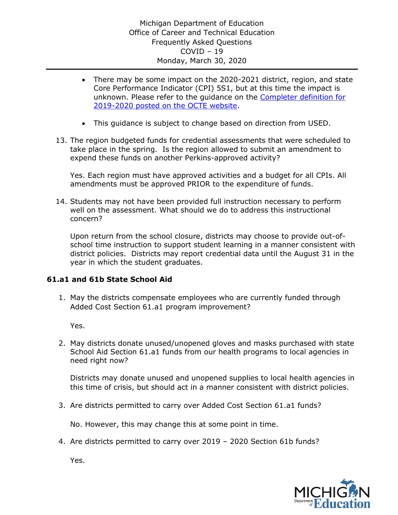- • There may be some impact on the 2020-2021 district, region, and state [2019-2020 posted on the OCTE website.](https://www.michigan.gov/documents/mde/CTE_Completer_Definition_666026_7.pdf) Core Performance Indicator (CPI) 5S1, but at this time the impact is unknown. Please refer to the guidance on the [Completer definition for](https://www.michigan.gov/documents/mde/CTE_Completer_Definition_666026_7.pdf)
- This guidance is subject to change based on direction from USED.
- expend these funds on another Perkins-approved activity? 13. The region budgeted funds for credential assessments that were scheduled to take place in the spring. Is the region allowed to submit an amendment to

 Yes. Each region must have approved activities and a budget for all CPIs. All amendments must be approved PRIOR to the expenditure of funds.

 14. Students may not have been provided full instruction necessary to perform well on the assessment. What should we do to address this instructional concern?

 school time instruction to support student learning in a manner consistent with district policies. Districts may report credential data until the August 31 in the Upon return from the school closure, districts may choose to provide out-ofyear in which the student graduates.

# **61.a1 and 61b State School Aid**

 Added Cost Section 61.a1 program improvement? 1. May the districts compensate employees who are currently funded through

Yes.

 School Aid Section 61.a1 funds from our health programs to local agencies in 2. May districts donate unused/unopened gloves and masks purchased with state need right now?

 Districts may donate unused and unopened supplies to local health agencies in this time of crisis, but should act in a manner consistent with district policies.

3. Are districts permitted to carry over Added Cost Section 61.a1 funds?

No. However, this may change this at some point in time.

4. Are districts permitted to carry over 2019 – 2020 Section 61b funds?

Yes.

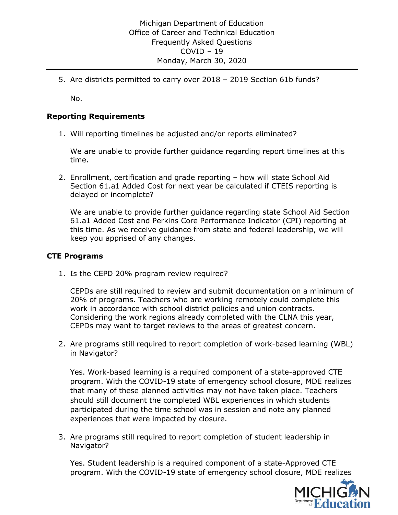5. Are districts permitted to carry over 2018 – 2019 Section 61b funds?

No.

### **Reporting Requirements**

1. Will reporting timelines be adjusted and/or reports eliminated?

We are unable to provide further guidance regarding report timelines at this time.

 Section 61.a1 Added Cost for next year be calculated if CTEIS reporting is 2. Enrollment, certification and grade reporting – how will state School Aid delayed or incomplete?

 61.a1 Added Cost and Perkins Core Performance Indicator (CPI) reporting at this time. As we receive guidance from state and federal leadership, we will keep you apprised of any changes. We are unable to provide further guidance regarding state School Aid Section

#### **CTE Programs**

1. Is the CEPD 20% program review required?

 CEPDs are still required to review and submit documentation on a minimum of 20% of programs. Teachers who are working remotely could complete this Considering the work regions already completed with the CLNA this year, CEPDs may want to target reviews to the areas of greatest concern. work in accordance with school district policies and union contracts.

2. Are programs still required to report completion of work-based learning (WBL) in Navigator?

 Yes. Work-based learning is a required component of a state-approved CTE participated during the time school was in session and note any planned experiences that were impacted by closure. program. With the COVID-19 state of emergency school closure, MDE realizes that many of these planned activities may not have taken place. Teachers should still document the completed WBL experiences in which students

3. Are programs still required to report completion of student leadership in Navigator?

 Yes. Student leadership is a required component of a state-Approved CTE program. With the COVID-19 state of emergency school closure, MDE realizes

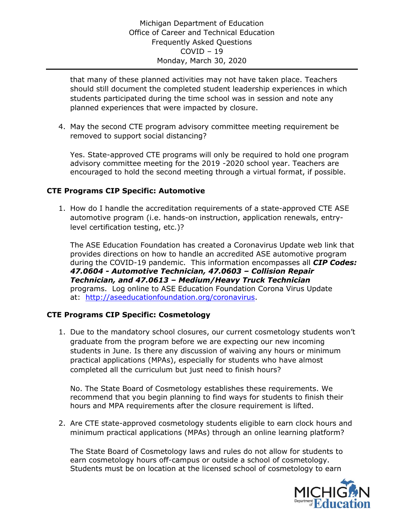that many of these planned activities may not have taken place. Teachers students participated during the time school was in session and note any planned experiences that were impacted by closure. should still document the completed student leadership experiences in which

 4. May the second CTE program advisory committee meeting requirement be removed to support social distancing?

 advisory committee meeting for the 2019 -2020 school year. Teachers are encouraged to hold the second meeting through a virtual format, if possible. Yes. State-approved CTE programs will only be required to hold one program

# **CTE Programs CIP Specific: Automotive**

 automotive program (i.e. hands-on instruction, application renewals, entry-1. How do I handle the accreditation requirements of a state-approved CTE ASE level certification testing, etc.)?

 The ASE Education Foundation has created a Coronavirus Update web link that provides directions on how to handle an accredited ASE automotive program  during the COVID-19 pandemic. This information encompasses all *CIP Codes: Technician, and 47.0613 – Medium/Heavy Truck Technician*  programs. Log online to ASE Education Foundation Corona Virus Update *47.0604 - Automotive Technician, 47.0603 – Collision Repair*  at: [http://aseeducationfoundation.org/coronavirus.](https://gcc01.safelinks.protection.outlook.com/?url=http%3A%2F%2Faseeducationfoundation.org%2Fcoronavirus&data=02%7C01%7CYottS%40michigan.gov%7Caba31ba391314014813108d7cb83c613%7Cd5fb7087377742ad966a892ef47225d1%7C0%7C0%7C637201639127398619&sdata=I2Spj8LAimPU7SPvQOF5IH3jYgRxAL6gnoT2ve%2B9GQo%3D&reserved=0)

# **CTE Programs CIP Specific: Cosmetology**

 1. Due to the mandatory school closures, our current cosmetology students won't students in June. Is there any discussion of waiving any hours or minimum completed all the curriculum but just need to finish hours? graduate from the program before we are expecting our new incoming practical applications (MPAs), especially for students who have almost

 recommend that you begin planning to find ways for students to finish their No. The State Board of Cosmetology establishes these requirements. We hours and MPA requirements after the closure requirement is lifted.

2. Are CTE state-approved cosmetology students eligible to earn clock hours and minimum practical applications (MPAs) through an online learning platform?

 The State Board of Cosmetology laws and rules do not allow for students to earn cosmetology hours off-campus or outside a school of cosmetology. Students must be on location at the licensed school of cosmetology to earn

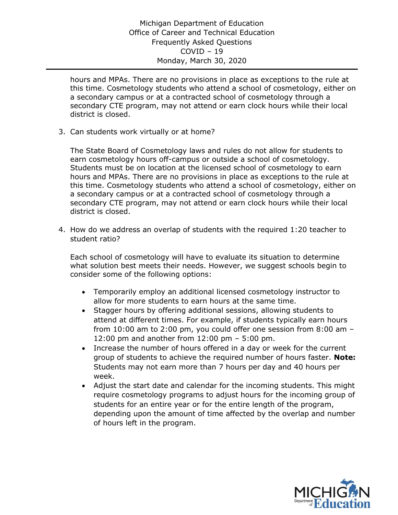hours and MPAs. There are no provisions in place as exceptions to the rule at this time. Cosmetology students who attend a school of cosmetology, either on a secondary campus or at a contracted school of cosmetology through a secondary CTE program, may not attend or earn clock hours while their local district is closed.

3. Can students work virtually or at home?

 The State Board of Cosmetology laws and rules do not allow for students to earn cosmetology hours off-campus or outside a school of cosmetology. Students must be on location at the licensed school of cosmetology to earn hours and MPAs. There are no provisions in place as exceptions to the rule at this time. Cosmetology students who attend a school of cosmetology, either on a secondary campus or at a contracted school of cosmetology through a secondary CTE program, may not attend or earn clock hours while their local district is closed.

 4. How do we address an overlap of students with the required 1:20 teacher to student ratio?

Each school of cosmetology will have to evaluate its situation to determine what solution best meets their needs. However, we suggest schools begin to consider some of the following options:

- • Temporarily employ an additional licensed cosmetology instructor to allow for more students to earn hours at the same time.
- • Stagger hours by offering additional sessions, allowing students to attend at different times. For example, if students typically earn hours from 10:00 am to 2:00 pm, you could offer one session from 8:00 am – 12:00 pm and another from 12:00 pm – 5:00 pm.
- • Increase the number of hours offered in a day or week for the current Students may not earn more than 7 hours per day and 40 hours per group of students to achieve the required number of hours faster. **Note:**  week.
- • Adjust the start date and calendar for the incoming students. This might require cosmetology programs to adjust hours for the incoming group of depending upon the amount of time affected by the overlap and number students for an entire year or for the entire length of the program, of hours left in the program.

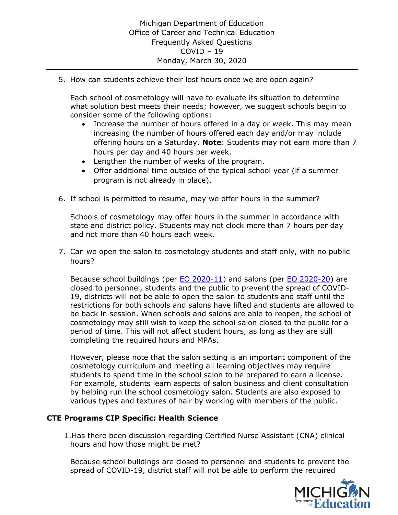5. How can students achieve their lost hours once we are open again?

Each school of cosmetology will have to evaluate its situation to determine what solution best meets their needs; however, we suggest schools begin to consider some of the following options:

- • Increase the number of hours offered in a day or week. This may mean increasing the number of hours offered each day and/or may include offering hours on a Saturday. **Note**: Students may not earn more than 7 hours per day and 40 hours per week.
- Lengthen the number of weeks of the program.
- • Offer additional time outside of the typical school year (if a summer program is not already in place).
- 6. If school is permitted to resume, may we offer hours in the summer?

 Schools of cosmetology may offer hours in the summer in accordance with state and district policy. Students may not clock more than 7 hours per day and not more than 40 hours each week.

 7. Can we open the salon to cosmetology students and staff only, with no public hours?

Because school buildings (per [EO 2020-11\)](https://www.michigan.gov/whitmer/0,9309,7-387-90499_90705-521890--,00.html) and salons (per [EO 2020-20\)](https://www.michigan.gov/whitmer/0,9309,7-387-90499_90705-522576--,00.html) are 19, districts will not be able to open the salon to students and staff until the restrictions for both schools and salons have lifted and students are allowed to be back in session. When schools and salons are able to reopen, the school of cosmetology may still wish to keep the school salon closed to the public for a period of time. This will not affect student hours, as long as they are still completing the required hours and MPAs. closed to personnel, students and the public to prevent the spread of COVID-

 cosmetology curriculum and meeting all learning objectives may require students to spend time in the school salon to be prepared to earn a license. For example, students learn aspects of salon business and client consultation by helping run the school cosmetology salon. Students are also exposed to various types and textures of hair by working with members of the public. However, please note that the salon setting is an important component of the

### **CTE Programs CIP Specific: Health Science**

 hours and how those might be met? 1.Has there been discussion regarding Certified Nurse Assistant (CNA) clinical

Because school buildings are closed to personnel and students to prevent the spread of COVID-19, district staff will not be able to perform the required

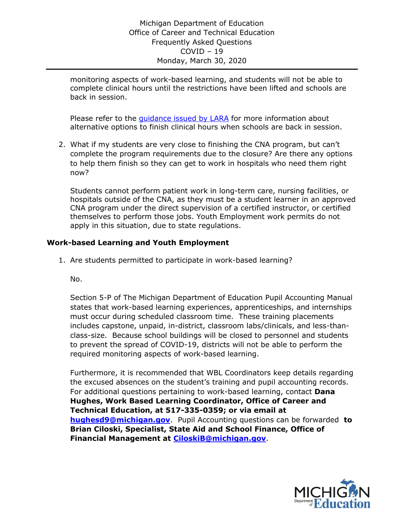complete clinical hours until the restrictions have been lifted and schools are monitoring aspects of work-based learning, and students will not be able to back in session.

Please refer to the *guidance issued by LARA* for more information about alternative options to finish clinical hours when schools are back in session.

 2. What if my students are very close to finishing the CNA program, but can't to help them finish so they can get to work in hospitals who need them right complete the program requirements due to the closure? Are there any options now?

 Students cannot perform patient work in long-term care, nursing facilities, or hospitals outside of the CNA, as they must be a student learner in an approved themselves to perform those jobs. Youth Employment work permits do not CNA program under the direct supervision of a certified instructor, or certified apply in this situation, due to state regulations.

# **Work-based Learning and Youth Employment**

1. Are students permitted to participate in work-based learning?

No.

 Section 5-P of The Michigan Department of Education Pupil Accounting Manual states that work-based learning experiences, apprenticeships, and internships must occur during scheduled classroom time. These training placements includes capstone, unpaid, in-district, classroom labs/clinicals, and less-than- class-size. Because school buildings will be closed to personnel and students to prevent the spread of COVID-19, districts will not be able to perform the required monitoring aspects of work-based learning.

 the excused absences on the student's training and pupil accounting records.  **Hughes, Work Based Learning Coordinator, Office of Career and Technical Education, at 517-335-0359; or via email at Brian Ciloski, Specialist, State Aid and School Finance, Office of**  Furthermore, it is recommended that WBL Coordinators keep details regarding For additional questions pertaining to work-based learning, contact **Dana [hughesd9@michigan.gov](mailto:hughesd9@michigan.gov)**. Pupil Accounting questions can be forwarded **to Financial Management at [CiloskiB@michigan.gov](mailto:CiloskiB@michigan.gov)**.